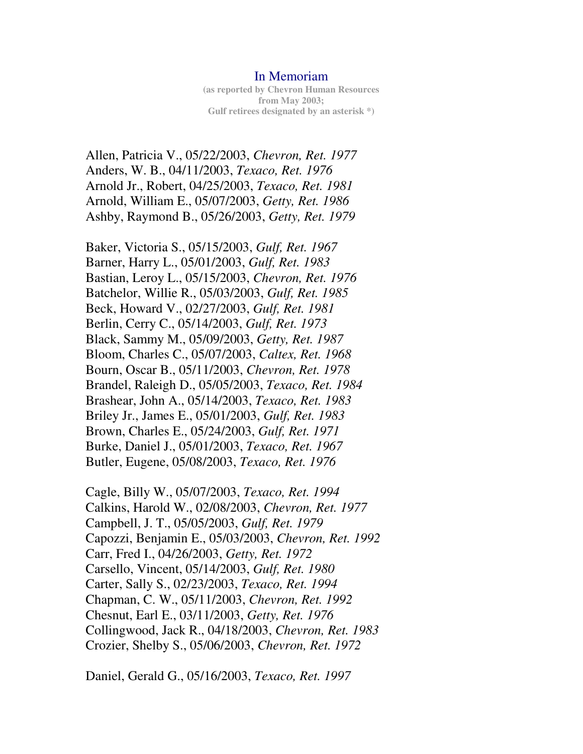## In Memoriam

**(as reported by Chevron Human Resources from May 2003; Gulf retirees designated by an asterisk \*)**

Allen, Patricia V., 05/22/2003, *Chevron, Ret. 1977*  Anders, W. B., 04/11/2003, *Texaco, Ret. 1976*  Arnold Jr., Robert, 04/25/2003, *Texaco, Ret. 1981*  Arnold, William E., 05/07/2003, *Getty, Ret. 1986*  Ashby, Raymond B., 05/26/2003, *Getty, Ret. 1979* 

Baker, Victoria S., 05/15/2003, *Gulf, Ret. 1967*  Barner, Harry L., 05/01/2003, *Gulf, Ret. 1983*  Bastian, Leroy L., 05/15/2003, *Chevron, Ret. 1976*  Batchelor, Willie R., 05/03/2003, *Gulf, Ret. 1985*  Beck, Howard V., 02/27/2003, *Gulf, Ret. 1981*  Berlin, Cerry C., 05/14/2003, *Gulf, Ret. 1973*  Black, Sammy M., 05/09/2003, *Getty, Ret. 1987*  Bloom, Charles C., 05/07/2003, *Caltex, Ret. 1968*  Bourn, Oscar B., 05/11/2003, *Chevron, Ret. 1978*  Brandel, Raleigh D., 05/05/2003, *Texaco, Ret. 1984*  Brashear, John A., 05/14/2003, *Texaco, Ret. 1983*  Briley Jr., James E., 05/01/2003, *Gulf, Ret. 1983*  Brown, Charles E., 05/24/2003, *Gulf, Ret. 1971*  Burke, Daniel J., 05/01/2003, *Texaco, Ret. 1967*  Butler, Eugene, 05/08/2003, *Texaco, Ret. 1976* 

Cagle, Billy W., 05/07/2003, *Texaco, Ret. 1994*  Calkins, Harold W., 02/08/2003, *Chevron, Ret. 1977*  Campbell, J. T., 05/05/2003, *Gulf, Ret. 1979*  Capozzi, Benjamin E., 05/03/2003, *Chevron, Ret. 1992*  Carr, Fred I., 04/26/2003, *Getty, Ret. 1972*  Carsello, Vincent, 05/14/2003, *Gulf, Ret. 1980*  Carter, Sally S., 02/23/2003, *Texaco, Ret. 1994*  Chapman, C. W., 05/11/2003, *Chevron, Ret. 1992*  Chesnut, Earl E., 03/11/2003, *Getty, Ret. 1976*  Collingwood, Jack R., 04/18/2003, *Chevron, Ret. 1983*  Crozier, Shelby S., 05/06/2003, *Chevron, Ret. 1972* 

Daniel, Gerald G., 05/16/2003, *Texaco, Ret. 1997*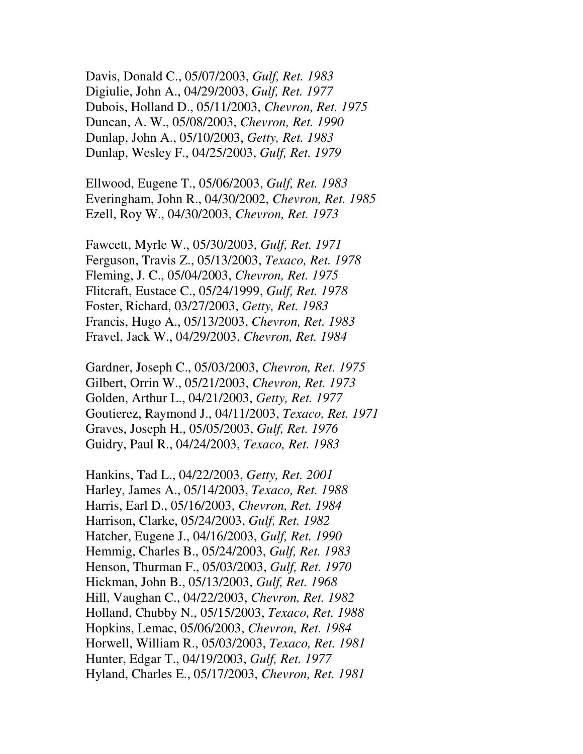Davis, Donald C., 05/07/2003, *Gulf, Ret. 1983*  Digiulie, John A., 04/29/2003, *Gulf, Ret. 1977*  Dubois, Holland D., 05/11/2003, *Chevron, Ret. 1975*  Duncan, A. W., 05/08/2003, *Chevron, Ret. 1990*  Dunlap, John A., 05/10/2003, *Getty, Ret. 1983*  Dunlap, Wesley F., 04/25/2003, *Gulf, Ret. 1979* 

Ellwood, Eugene T., 05/06/2003, *Gulf, Ret. 1983*  Everingham, John R., 04/30/2002, *Chevron, Ret. 1985*  Ezell, Roy W., 04/30/2003, *Chevron, Ret. 1973* 

Fawcett, Myrle W., 05/30/2003, *Gulf, Ret. 1971*  Ferguson, Travis Z., 05/13/2003, *Texaco, Ret. 1978*  Fleming, J. C., 05/04/2003, *Chevron, Ret. 1975*  Flitcraft, Eustace C., 05/24/1999, *Gulf, Ret. 1978*  Foster, Richard, 03/27/2003, *Getty, Ret. 1983*  Francis, Hugo A., 05/13/2003, *Chevron, Ret. 1983*  Fravel, Jack W., 04/29/2003, *Chevron, Ret. 1984* 

Gardner, Joseph C., 05/03/2003, *Chevron, Ret. 1975*  Gilbert, Orrin W., 05/21/2003, *Chevron, Ret. 1973*  Golden, Arthur L., 04/21/2003, *Getty, Ret. 1977*  Goutierez, Raymond J., 04/11/2003, *Texaco, Ret. 1971*  Graves, Joseph H., 05/05/2003, *Gulf, Ret. 1976*  Guidry, Paul R., 04/24/2003, *Texaco, Ret. 1983* 

Hankins, Tad L., 04/22/2003, *Getty, Ret. 2001*  Harley, James A., 05/14/2003, *Texaco, Ret. 1988*  Harris, Earl D., 05/16/2003, *Chevron, Ret. 1984*  Harrison, Clarke, 05/24/2003, *Gulf, Ret. 1982*  Hatcher, Eugene J., 04/16/2003, *Gulf, Ret. 1990*  Hemmig, Charles B., 05/24/2003, *Gulf, Ret. 1983*  Henson, Thurman F., 05/03/2003, *Gulf, Ret. 1970*  Hickman, John B., 05/13/2003, *Gulf, Ret. 1968*  Hill, Vaughan C., 04/22/2003, *Chevron, Ret. 1982*  Holland, Chubby N., 05/15/2003, *Texaco, Ret. 1988*  Hopkins, Lemac, 05/06/2003, *Chevron, Ret. 1984*  Horwell, William R., 05/03/2003, *Texaco, Ret. 1981*  Hunter, Edgar T., 04/19/2003, *Gulf, Ret. 1977*  Hyland, Charles E., 05/17/2003, *Chevron, Ret. 1981*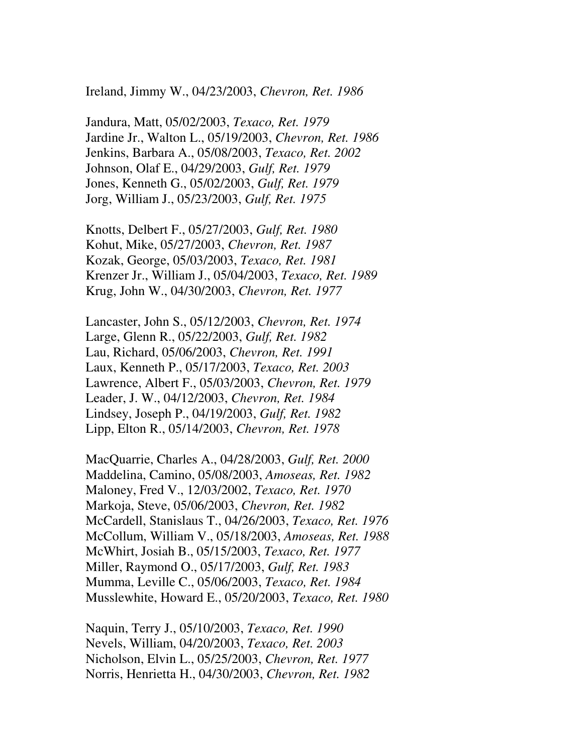Ireland, Jimmy W., 04/23/2003, *Chevron, Ret. 1986* 

Jandura, Matt, 05/02/2003, *Texaco, Ret. 1979*  Jardine Jr., Walton L., 05/19/2003, *Chevron, Ret. 1986*  Jenkins, Barbara A., 05/08/2003, *Texaco, Ret. 2002*  Johnson, Olaf E., 04/29/2003, *Gulf, Ret. 1979*  Jones, Kenneth G., 05/02/2003, *Gulf, Ret. 1979*  Jorg, William J., 05/23/2003, *Gulf, Ret. 1975* 

Knotts, Delbert F., 05/27/2003, *Gulf, Ret. 1980*  Kohut, Mike, 05/27/2003, *Chevron, Ret. 1987*  Kozak, George, 05/03/2003, *Texaco, Ret. 1981*  Krenzer Jr., William J., 05/04/2003, *Texaco, Ret. 1989*  Krug, John W., 04/30/2003, *Chevron, Ret. 1977* 

Lancaster, John S., 05/12/2003, *Chevron, Ret. 1974*  Large, Glenn R., 05/22/2003, *Gulf, Ret. 1982*  Lau, Richard, 05/06/2003, *Chevron, Ret. 1991*  Laux, Kenneth P., 05/17/2003, *Texaco, Ret. 2003*  Lawrence, Albert F., 05/03/2003, *Chevron, Ret. 1979*  Leader, J. W., 04/12/2003, *Chevron, Ret. 1984*  Lindsey, Joseph P., 04/19/2003, *Gulf, Ret. 1982*  Lipp, Elton R., 05/14/2003, *Chevron, Ret. 1978* 

MacQuarrie, Charles A., 04/28/2003, *Gulf, Ret. 2000*  Maddelina, Camino, 05/08/2003, *Amoseas, Ret. 1982*  Maloney, Fred V., 12/03/2002, *Texaco, Ret. 1970*  Markoja, Steve, 05/06/2003, *Chevron, Ret. 1982*  McCardell, Stanislaus T., 04/26/2003, *Texaco, Ret. 1976*  McCollum, William V., 05/18/2003, *Amoseas, Ret. 1988*  McWhirt, Josiah B., 05/15/2003, *Texaco, Ret. 1977*  Miller, Raymond O., 05/17/2003, *Gulf, Ret. 1983*  Mumma, Leville C., 05/06/2003, *Texaco, Ret. 1984*  Musslewhite, Howard E., 05/20/2003, *Texaco, Ret. 1980* 

Naquin, Terry J., 05/10/2003, *Texaco, Ret. 1990*  Nevels, William, 04/20/2003, *Texaco, Ret. 2003*  Nicholson, Elvin L., 05/25/2003, *Chevron, Ret. 1977*  Norris, Henrietta H., 04/30/2003, *Chevron, Ret. 1982*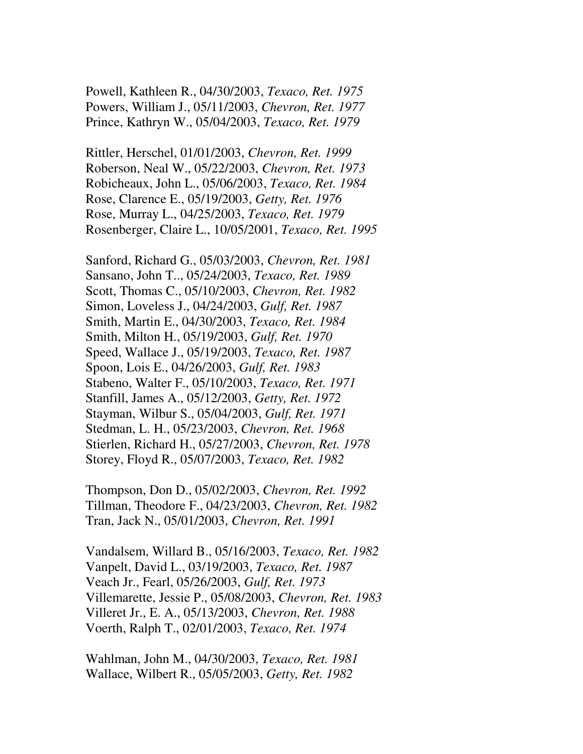Powell, Kathleen R., 04/30/2003, *Texaco, Ret. 1975*  Powers, William J., 05/11/2003, *Chevron, Ret. 1977*  Prince, Kathryn W., 05/04/2003, *Texaco, Ret. 1979* 

Rittler, Herschel, 01/01/2003, *Chevron, Ret. 1999*  Roberson, Neal W., 05/22/2003, *Chevron, Ret. 1973*  Robicheaux, John L., 05/06/2003, *Texaco, Ret. 1984*  Rose, Clarence E., 05/19/2003, *Getty, Ret. 1976*  Rose, Murray L., 04/25/2003, *Texaco, Ret. 1979*  Rosenberger, Claire L., 10/05/2001, *Texaco, Ret. 1995* 

Sanford, Richard G., 05/03/2003, *Chevron, Ret. 1981*  Sansano, John T.., 05/24/2003, *Texaco, Ret. 1989*  Scott, Thomas C., 05/10/2003, *Chevron, Ret. 1982*  Simon, Loveless J., 04/24/2003, *Gulf, Ret. 1987*  Smith, Martin E., 04/30/2003, *Texaco, Ret. 1984*  Smith, Milton H., 05/19/2003, *Gulf, Ret. 1970*  Speed, Wallace J., 05/19/2003, *Texaco, Ret. 1987*  Spoon, Lois E., 04/26/2003, *Gulf, Ret. 1983*  Stabeno, Walter F., 05/10/2003, *Texaco, Ret. 1971*  Stanfill, James A., 05/12/2003, *Getty, Ret. 1972*  Stayman, Wilbur S., 05/04/2003, *Gulf, Ret. 1971*  Stedman, L. H., 05/23/2003, *Chevron, Ret. 1968*  Stierlen, Richard H., 05/27/2003, *Chevron, Ret. 1978*  Storey, Floyd R., 05/07/2003, *Texaco, Ret. 1982* 

Thompson, Don D., 05/02/2003, *Chevron, Ret. 1992*  Tillman, Theodore F., 04/23/2003, *Chevron, Ret. 1982*  Tran, Jack N., 05/01/2003, *Chevron, Ret. 1991* 

Vandalsem, Willard B., 05/16/2003, *Texaco, Ret. 1982*  Vanpelt, David L., 03/19/2003, *Texaco, Ret. 1987*  Veach Jr., Fearl, 05/26/2003, *Gulf, Ret. 1973*  Villemarette, Jessie P., 05/08/2003, *Chevron, Ret. 1983*  Villeret Jr., E. A., 05/13/2003, *Chevron, Ret. 1988*  Voerth, Ralph T., 02/01/2003, *Texaco, Ret. 1974* 

Wahlman, John M., 04/30/2003, *Texaco, Ret. 1981*  Wallace, Wilbert R., 05/05/2003, *Getty, Ret. 1982*